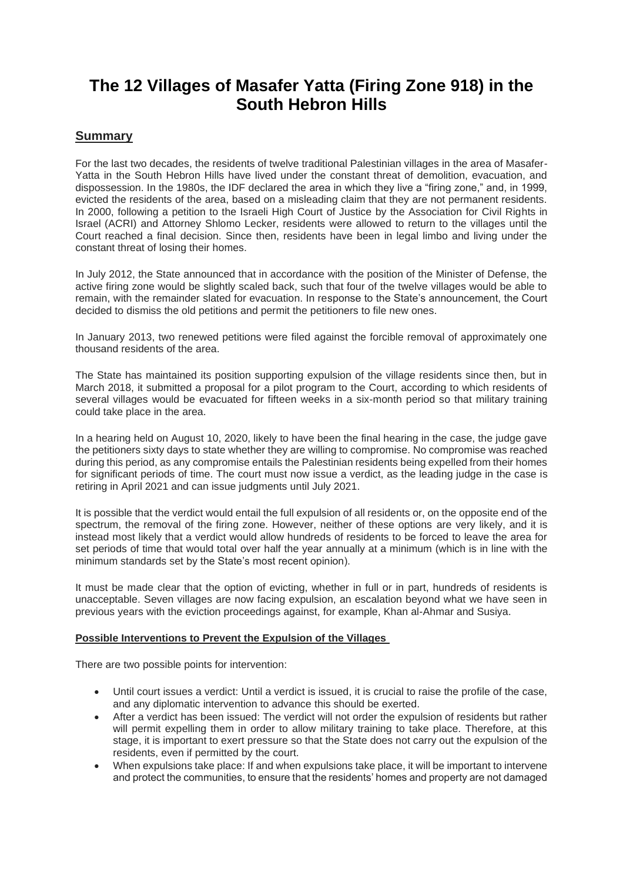# **The 12 Villages of Masafer Yatta (Firing Zone 918) in the South Hebron Hills**

# **Summary**

For the last two decades, the residents of twelve traditional Palestinian villages in the area of Masafer-Yatta in the South Hebron Hills have lived under the constant threat of demolition, evacuation, and dispossession. In the 1980s, the IDF declared the area in which they live a "firing zone," and, in 1999, evicted the residents of the area, based on a misleading claim that they are not permanent residents. In 2000, following a petition to the Israeli High Court of Justice by the Association for Civil Rights in Israel (ACRI) and Attorney Shlomo Lecker, residents were allowed to return to the villages until the Court reached a final decision. Since then, residents have been in legal limbo and living under the constant threat of losing their homes.

In July 2012, the State announced that in accordance with the position of the Minister of Defense, the active firing zone would be slightly scaled back, such that four of the twelve villages would be able to remain, with the remainder slated for evacuation. In response to the State's announcement, the Court decided to dismiss the old petitions and permit the petitioners to file new ones.

In January 2013, two renewed petitions were filed against the forcible removal of approximately one thousand residents of the area.

The State has maintained its position supporting expulsion of the village residents since then, but in March 2018, it submitted a proposal for a pilot program to the Court, according to which residents of several villages would be evacuated for fifteen weeks in a six-month period so that military training could take place in the area.

In a hearing held on August 10, 2020, likely to have been the final hearing in the case, the judge gave the petitioners sixty days to state whether they are willing to compromise. No compromise was reached during this period, as any compromise entails the Palestinian residents being expelled from their homes for significant periods of time. The court must now issue a verdict, as the leading judge in the case is retiring in April 2021 and can issue judgments until July 2021.

It is possible that the verdict would entail the full expulsion of all residents or, on the opposite end of the spectrum, the removal of the firing zone. However, neither of these options are very likely, and it is instead most likely that a verdict would allow hundreds of residents to be forced to leave the area for set periods of time that would total over half the year annually at a minimum (which is in line with the minimum standards set by the State's most recent opinion).

It must be made clear that the option of evicting, whether in full or in part, hundreds of residents is unacceptable. Seven villages are now facing expulsion, an escalation beyond what we have seen in previous years with the eviction proceedings against, for example, Khan al-Ahmar and Susiya.

## **Possible Interventions to Prevent the Expulsion of the Villages**

There are two possible points for intervention:

- Until court issues a verdict: Until a verdict is issued, it is crucial to raise the profile of the case, and any diplomatic intervention to advance this should be exerted.
- After a verdict has been issued: The verdict will not order the expulsion of residents but rather will permit expelling them in order to allow military training to take place. Therefore, at this stage, it is important to exert pressure so that the State does not carry out the expulsion of the residents, even if permitted by the court.
- When expulsions take place: If and when expulsions take place, it will be important to intervene and protect the communities, to ensure that the residents' homes and property are not damaged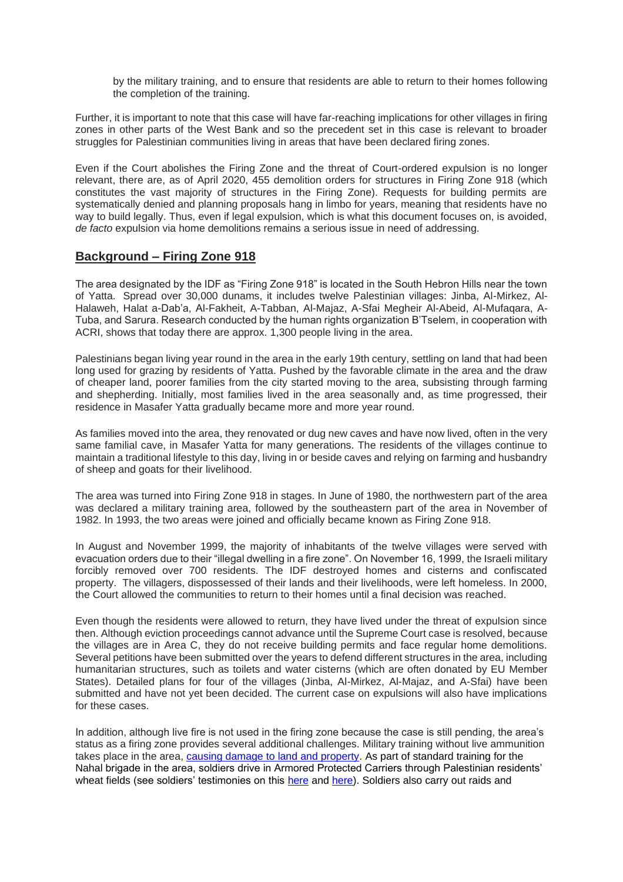by the military training, and to ensure that residents are able to return to their homes following the completion of the training.

Further, it is important to note that this case will have far-reaching implications for other villages in firing zones in other parts of the West Bank and so the precedent set in this case is relevant to broader struggles for Palestinian communities living in areas that have been declared firing zones.

Even if the Court abolishes the Firing Zone and the threat of Court-ordered expulsion is no longer relevant, there are, as of April 2020, 455 demolition orders for structures in Firing Zone 918 (which constitutes the vast majority of structures in the Firing Zone). Requests for building permits are systematically denied and planning proposals hang in limbo for years, meaning that residents have no way to build legally. Thus, even if legal expulsion, which is what this document focuses on, is avoided, *de facto* expulsion via home demolitions remains a serious issue in need of addressing.

## **Background – Firing Zone 918**

The area designated by the IDF as "Firing Zone 918" is located in the South Hebron Hills near the town of Yatta. Spread over 30,000 dunams, it includes twelve Palestinian villages: Jinba, Al-Mirkez, Al-Halaweh, Halat a-Dab'a, Al-Fakheit, A-Tabban, Al-Majaz, A-Sfai Megheir Al-Abeid, Al-Mufaqara, A-Tuba, and Sarura. Research conducted by the human rights organization B'Tselem, in cooperation with ACRI, shows that today there are approx. 1,300 people living in the area.

Palestinians began living year round in the area in the early 19th century, settling on land that had been long used for grazing by residents of Yatta. Pushed by the favorable climate in the area and the draw of cheaper land, poorer families from the city started moving to the area, subsisting through farming and shepherding. Initially, most families lived in the area seasonally and, as time progressed, their residence in Masafer Yatta gradually became more and more year round.

As families moved into the area, they renovated or dug new caves and have now lived, often in the very same familial cave, in Masafer Yatta for many generations. The residents of the villages continue to maintain a traditional lifestyle to this day, living in or beside caves and relying on farming and husbandry of sheep and goats for their livelihood.

The area was turned into Firing Zone 918 in stages. In June of 1980, the northwestern part of the area was declared a military training area, followed by the southeastern part of the area in November of 1982. In 1993, the two areas were joined and officially became known as Firing Zone 918.

In August and November 1999, the majority of inhabitants of the twelve villages were served with evacuation orders due to their "illegal dwelling in a fire zone". On November 16, 1999, the Israeli military forcibly removed over 700 residents. The IDF destroyed homes and cisterns and confiscated property. The villagers, dispossessed of their lands and their livelihoods, were left homeless. In 2000, the Court allowed the communities to return to their homes until a final decision was reached.

Even though the residents were allowed to return, they have lived under the threat of expulsion since then. Although eviction proceedings cannot advance until the Supreme Court case is resolved, because the villages are in Area C, they do not receive building permits and face regular home demolitions. Several petitions have been submitted over the years to defend different structures in the area, including humanitarian structures, such as toilets and water cisterns (which are often donated by EU Member States). Detailed plans for four of the villages (Jinba, Al-Mirkez, Al-Majaz, and A-Sfai) have been submitted and have not yet been decided. The current case on expulsions will also have implications for these cases.

In addition, although live fire is not used in the firing zone because the case is still pending, the area's status as a firing zone provides several additional challenges. Military training without live ammunition takes place in the area, [causing damage to land and property.](https://www.haaretz.co.il/news/politics/1.1916315) As part of standard training for the Nahal brigade in the area, soldiers drive in Armored Protected Carriers through Palestinian residents' wheat fields (see soldiers' testimonies on this [here](https://www.breakingthesilence.org.il/testimonies/database/9951) and [here\)](https://www.breakingthesilence.org.il/testimonies/database/128733). Soldiers also carry out raids and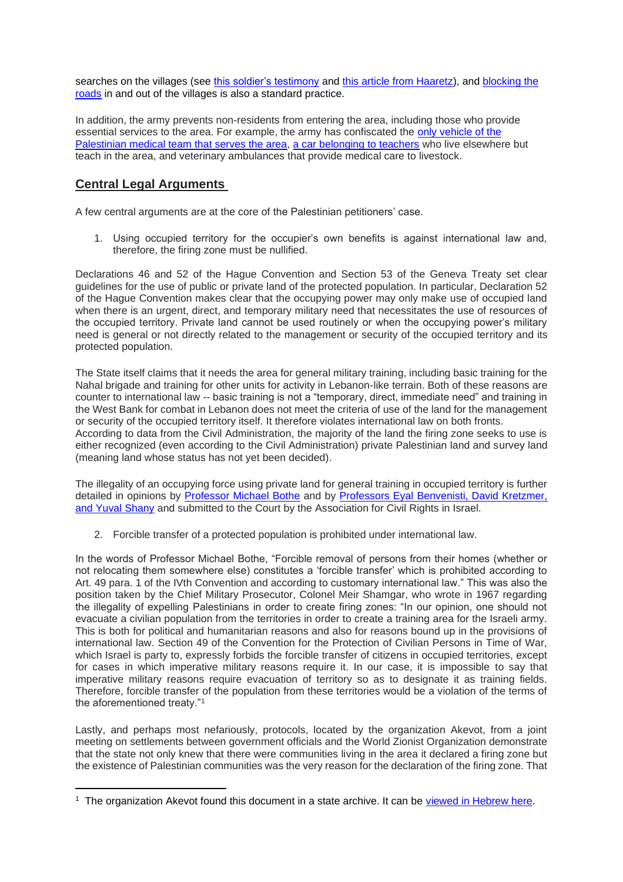searches on the villages (see [this soldier's testimony](https://www.breakingthesilence.org.il/testimonies/database/564026) and [this article from Haaretz\)](https://www.haaretz.com/.premium-in-the-line-of-fire-in-the-south-hebron-hills-1.5344132), and [blocking the](https://www.haaretz.com/middle-east-news/palestinians/.premium-life-in-villages-where-idf-ruined-the-access-roads-1.5729636)  [roads](https://www.haaretz.com/middle-east-news/palestinians/.premium-life-in-villages-where-idf-ruined-the-access-roads-1.5729636) in and out of the villages is also a standard practice.

In addition, the army prevents non-residents from entering the area, including those who provide essential services to the area. For example, the army has confiscated the [only vehicle of the](https://www.haaretz.com/israel-news/.premium-israel-confiscates-sole-vehicle-of-palestinian-medical-team-in-west-bank-firing-zone-1.8370157)  [Palestinian medical team that serves the area,](https://www.haaretz.com/israel-news/.premium-israel-confiscates-sole-vehicle-of-palestinian-medical-team-in-west-bank-firing-zone-1.8370157) [a car belonging to teachers](https://www.haaretz.co.il/magazine/twilightzone/.premium-1.2063797) who live elsewhere but teach in the area, and veterinary ambulances that provide medical care to livestock.

# **Central Legal Arguments**

A few central arguments are at the core of the Palestinian petitioners' case.

1. Using occupied territory for the occupier's own benefits is against international law and, therefore, the firing zone must be nullified.

Declarations 46 and 52 of the Hague Convention and Section 53 of the Geneva Treaty set clear guidelines for the use of public or private land of the protected population. In particular, Declaration 52 of the Hague Convention makes clear that the occupying power may only make use of occupied land when there is an urgent, direct, and temporary military need that necessitates the use of resources of the occupied territory. Private land cannot be used routinely or when the occupying power's military need is general or not directly related to the management or security of the occupied territory and its protected population.

The State itself claims that it needs the area for general military training, including basic training for the Nahal brigade and training for other units for activity in Lebanon-like terrain. Both of these reasons are counter to international law -- basic training is not a "temporary, direct, immediate need" and training in the West Bank for combat in Lebanon does not meet the criteria of use of the land for the management or security of the occupied territory itself. It therefore violates international law on both fronts. According to data from the Civil Administration, the majority of the land the firing zone seeks to use is either recognized (even according to the Civil Administration) private Palestinian land and survey land (meaning land whose status has not yet been decided).

The illegality of an occupying force using private land for general training in occupied territory is further detailed in opinions by [Professor Michael Bothe](https://law.acri.org.il/he/wp-content/uploads/2013/01/hit413expert3.pdf) and by Professors Eyal Benvenisti, David Kretzmer, [and Yuval Shany](https://www.breakingthesilence.org.il/inside/wp-content/uploads/2020/09/expert-opinion-zone-918-eng.pdf) and submitted to the Court by the Association for Civil Rights in Israel.

2. Forcible transfer of a protected population is prohibited under international law.

In the words of Professor Michael Bothe, "Forcible removal of persons from their homes (whether or not relocating them somewhere else) constitutes a 'forcible transfer' which is prohibited according to Art. 49 para. 1 of the IVth Convention and according to customary international law." This was also the position taken by the Chief Military Prosecutor, Colonel Meir Shamgar, who wrote in 1967 regarding the illegality of expelling Palestinians in order to create firing zones: "In our opinion, one should not evacuate a civilian population from the territories in order to create a training area for the Israeli army. This is both for political and humanitarian reasons and also for reasons bound up in the provisions of international law. Section 49 of the Convention for the Protection of Civilian Persons in Time of War, which Israel is party to, expressly forbids the forcible transfer of citizens in occupied territories, except for cases in which imperative military reasons require it. In our case, it is impossible to say that imperative military reasons require evacuation of territory so as to designate it as training fields. Therefore, forcible transfer of the population from these territories would be a violation of the terms of the aforementioned treaty."<sup>1</sup>

Lastly, and perhaps most nefariously, protocols, located by the organization Akevot, from a joint meeting on settlements between government officials and the World Zionist Organization demonstrate that the state not only knew that there were communities living in the area it declared a firing zone but the existence of Palestinian communities was the very reason for the declaration of the firing zone. That

<sup>&</sup>lt;sup>1</sup> The organization Akevot found this document in a state archive. It can be [viewed in Hebrew here.](https://www.akevot.org.il/article/firing-zone-918-case-1967-legal-opinion-presented-high-court/)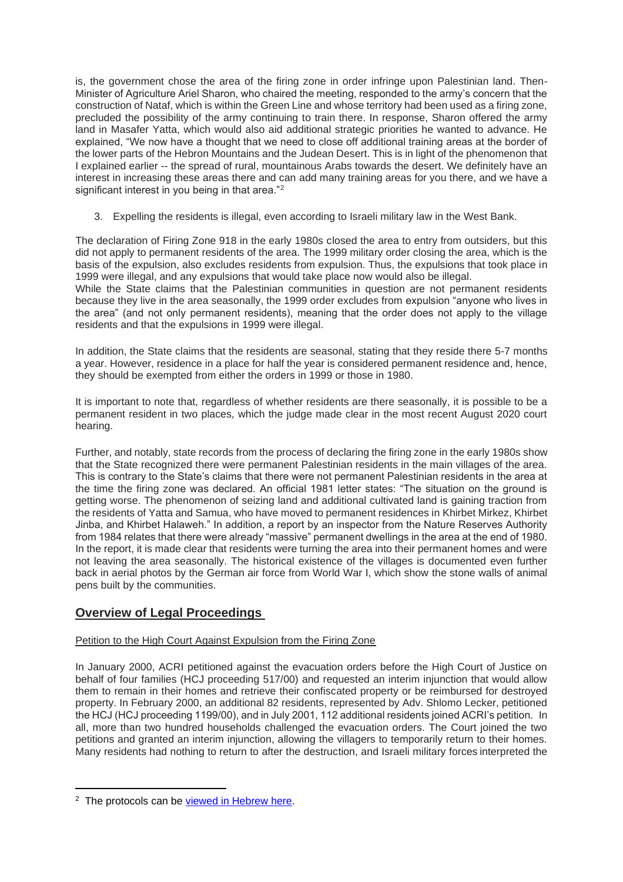is, the government chose the area of the firing zone in order infringe upon Palestinian land. Then-Minister of Agriculture Ariel Sharon, who chaired the meeting, responded to the army's concern that the construction of Nataf, which is within the Green Line and whose territory had been used as a firing zone, precluded the possibility of the army continuing to train there. In response, Sharon offered the army land in Masafer Yatta, which would also aid additional strategic priorities he wanted to advance. He explained, "We now have a thought that we need to close off additional training areas at the border of the lower parts of the Hebron Mountains and the Judean Desert. This is in light of the phenomenon that I explained earlier -- the spread of rural, mountainous Arabs towards the desert. We definitely have an interest in increasing these areas there and can add many training areas for you there, and we have a significant interest in you being in that area."<sup>2</sup>

3. Expelling the residents is illegal, even according to Israeli military law in the West Bank.

The declaration of Firing Zone 918 in the early 1980s closed the area to entry from outsiders, but this did not apply to permanent residents of the area. The 1999 military order closing the area, which is the basis of the expulsion, also excludes residents from expulsion. Thus, the expulsions that took place in 1999 were illegal, and any expulsions that would take place now would also be illegal.

While the State claims that the Palestinian communities in question are not permanent residents because they live in the area seasonally, the 1999 order excludes from expulsion "anyone who lives in the area" (and not only permanent residents), meaning that the order does not apply to the village residents and that the expulsions in 1999 were illegal.

In addition, the State claims that the residents are seasonal, stating that they reside there 5-7 months a year. However, residence in a place for half the year is considered permanent residence and, hence, they should be exempted from either the orders in 1999 or those in 1980.

It is important to note that, regardless of whether residents are there seasonally, it is possible to be a permanent resident in two places, which the judge made clear in the most recent August 2020 court hearing.

Further, and notably, state records from the process of declaring the firing zone in the early 1980s show that the State recognized there were permanent Palestinian residents in the main villages of the area. This is contrary to the State's claims that there were not permanent Palestinian residents in the area at the time the firing zone was declared. An official 1981 letter states: "The situation on the ground is getting worse. The phenomenon of seizing land and additional cultivated land is gaining traction from the residents of Yatta and Samua, who have moved to permanent residences in Khirbet Mirkez, Khirbet Jinba, and Khirbet Halaweh." In addition, a report by an inspector from the Nature Reserves Authority from 1984 relates that there were already "massive" permanent dwellings in the area at the end of 1980. In the report, it is made clear that residents were turning the area into their permanent homes and were not leaving the area seasonally. The historical existence of the villages is documented even further back in aerial photos by the German air force from World War I, which show the stone walls of animal pens built by the communities.

# **Overview of Legal Proceedings**

## Petition to the High Court Against Expulsion from the Firing Zone

In January 2000, ACRI petitioned against the evacuation orders before the High Court of Justice on behalf of four families (HCJ proceeding 517/00) and requested an interim injunction that would allow them to remain in their homes and retrieve their confiscated property or be reimbursed for destroyed property. In February 2000, an additional 82 residents, represented by Adv. Shlomo Lecker, petitioned the HCJ (HCJ proceeding 1199/00), and in July 2001, 112 additional residents joined ACRI's petition. In all, more than two hundred households challenged the evacuation orders. The Court joined the two petitions and granted an interim injunction, allowing the villagers to temporarily return to their homes. Many residents had nothing to return to after the destruction, and Israeli military forces interpreted the

<sup>&</sup>lt;sup>2</sup> The protocols can be [viewed in Hebrew here.](https://01368b10-57e4-4138-acc3-01373134d221.usrfiles.com/ugd/01368b_f7db6dce4f2540f8bce4b085998e13ea.pdf)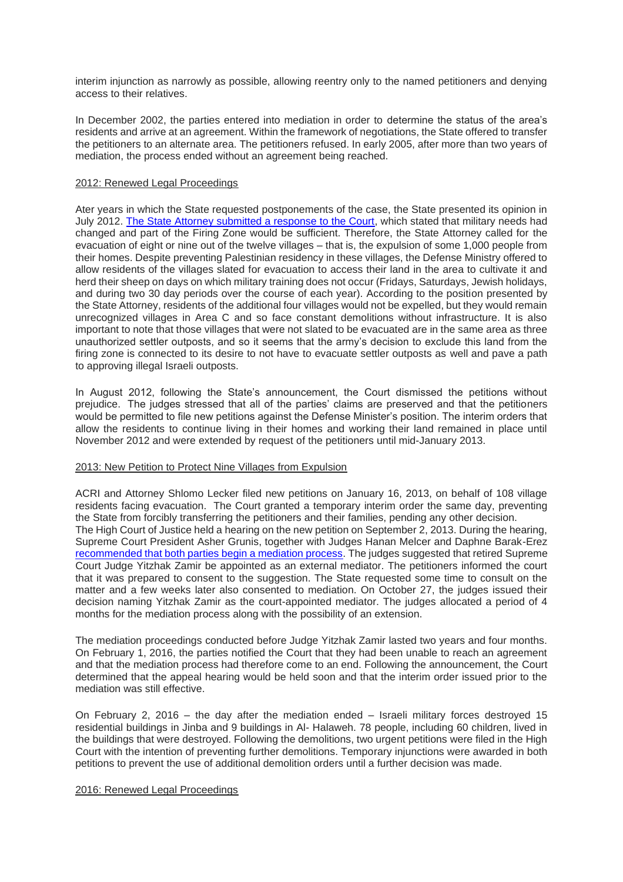interim injunction as narrowly as possible, allowing reentry only to the named petitioners and denying access to their relatives.

In December 2002, the parties entered into mediation in order to determine the status of the area's residents and arrive at an agreement. Within the framework of negotiations, the State offered to transfer the petitioners to an alternate area. The petitioners refused. In early 2005, after more than two years of mediation, the process ended without an agreement being reached.

## 2012: Renewed Legal Proceedings

Ater years in which the State requested postponements of the case, the State presented its opinion in July 2012. [The State Attorney submitted a response to the Court,](https://law.acri.org.il/en/wp-content/uploads/2012/05/Firing-Zone-918-Govt-Response-19July2012-ENG.pdf) which stated that military needs had changed and part of the Firing Zone would be sufficient. Therefore, the State Attorney called for the evacuation of eight or nine out of the twelve villages – that is, the expulsion of some 1,000 people from their homes. Despite preventing Palestinian residency in these villages, the Defense Ministry offered to allow residents of the villages slated for evacuation to access their land in the area to cultivate it and herd their sheep on days on which military training does not occur (Fridays, Saturdays, Jewish holidays, and during two 30 day periods over the course of each year). According to the position presented by the State Attorney, residents of the additional four villages would not be expelled, but they would remain unrecognized villages in Area C and so face constant demolitions without infrastructure. It is also important to note that those villages that were not slated to be evacuated are in the same area as three unauthorized settler outposts, and so it seems that the army's decision to exclude this land from the firing zone is connected to its desire to not have to evacuate settler outposts as well and pave a path to approving illegal Israeli outposts.

In August 2012, following the State's announcement, the Court dismissed the petitions without prejudice. The judges stressed that all of the parties' claims are preserved and that the petitioners would be permitted to file new petitions against the Defense Minister's position. The interim orders that allow the residents to continue living in their homes and working their land remained in place until November 2012 and were extended by request of the petitioners until mid-January 2013.

## 2013: New Petition to Protect Nine Villages from Expulsion

ACRI and Attorney Shlomo Lecker filed new petitions on January 16, 2013, on behalf of 108 village residents facing evacuation. The Court granted a temporary interim order the same day, preventing the State from forcibly transferring the petitioners and their families, pending any other decision. The High Court of Justice held a hearing on the new petition on September 2, 2013. During the hearing, Supreme Court President Asher Grunis, together with Judges Hanan Melcer and Daphne Barak-Erez [recommended that both parties begin a mediation process.](https://law.acri.org.il/en/2013/09/03/918-mediation/) The judges suggested that retired Supreme Court Judge Yitzhak Zamir be appointed as an external mediator. The petitioners informed the court that it was prepared to consent to the suggestion. The State requested some time to consult on the matter and a few weeks later also consented to mediation. On October 27, the judges issued their decision naming Yitzhak Zamir as the court-appointed mediator. The judges allocated a period of 4 months for the mediation process along with the possibility of an extension.

The mediation proceedings conducted before Judge Yitzhak Zamir lasted two years and four months. On February 1, 2016, the parties notified the Court that they had been unable to reach an agreement and that the mediation process had therefore come to an end. Following the announcement, the Court determined that the appeal hearing would be held soon and that the interim order issued prior to the mediation was still effective.

On February 2, 2016 – the day after the mediation ended – Israeli military forces destroyed 15 residential buildings in Jinba and 9 buildings in Al- Halaweh. 78 people, including 60 children, lived in the buildings that were destroyed. Following the demolitions, two urgent petitions were filed in the High Court with the intention of preventing further demolitions. Temporary injunctions were awarded in both petitions to prevent the use of additional demolition orders until a further decision was made.

#### 2016: Renewed Legal Proceedings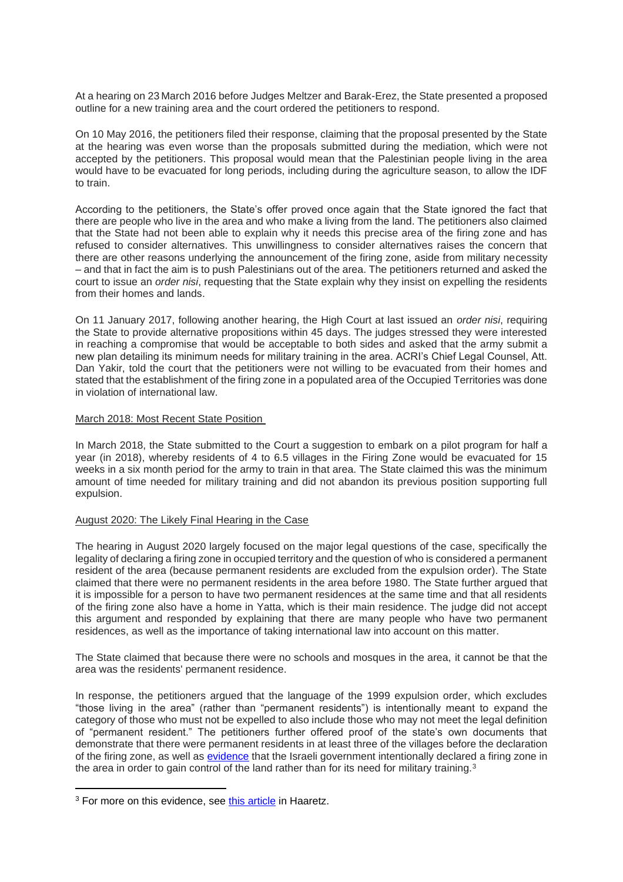At a hearing on 23 March 2016 before Judges Meltzer and Barak-Erez, the State presented a proposed outline for a new training area and the court ordered the petitioners to respond.

On 10 May 2016, the petitioners filed their response, claiming that the proposal presented by the State at the hearing was even worse than the proposals submitted during the mediation, which were not accepted by the petitioners. This proposal would mean that the Palestinian people living in the area would have to be evacuated for long periods, including during the agriculture season, to allow the IDF to train.

According to the petitioners, the State's offer proved once again that the State ignored the fact that there are people who live in the area and who make a living from the land. The petitioners also claimed that the State had not been able to explain why it needs this precise area of the firing zone and has refused to consider alternatives. This unwillingness to consider alternatives raises the concern that there are other reasons underlying the announcement of the firing zone, aside from military necessity – and that in fact the aim is to push Palestinians out of the area. The petitioners returned and asked the court to issue an *order nisi*, requesting that the State explain why they insist on expelling the residents from their homes and lands.

On 11 January 2017, following another hearing, the High Court at last issued an *order nisi*, requiring the State to provide alternative propositions within 45 days. The judges stressed they were interested in reaching a compromise that would be acceptable to both sides and asked that the army submit a new plan detailing its minimum needs for military training in the area. ACRI's Chief Legal Counsel, Att. Dan Yakir, told the court that the petitioners were not willing to be evacuated from their homes and stated that the establishment of the firing zone in a populated area of the Occupied Territories was done in violation of international law.

#### March 2018: Most Recent State Position

In March 2018, the State submitted to the Court a suggestion to embark on a pilot program for half a year (in 2018), whereby residents of 4 to 6.5 villages in the Firing Zone would be evacuated for 15 weeks in a six month period for the army to train in that area. The State claimed this was the minimum amount of time needed for military training and did not abandon its previous position supporting full expulsion.

## August 2020: The Likely Final Hearing in the Case

The hearing in August 2020 largely focused on the major legal questions of the case, specifically the legality of declaring a firing zone in occupied territory and the question of who is considered a permanent resident of the area (because permanent residents are excluded from the expulsion order). The State claimed that there were no permanent residents in the area before 1980. The State further argued that it is impossible for a person to have two permanent residences at the same time and that all residents of the firing zone also have a home in Yatta, which is their main residence. The judge did not accept this argument and responded by explaining that there are many people who have two permanent residences, as well as the importance of taking international law into account on this matter.

The State claimed that because there were no schools and mosques in the area, it cannot be that the area was the residents' permanent residence.

In response, the petitioners argued that the language of the 1999 expulsion order, which excludes "those living in the area" (rather than "permanent residents") is intentionally meant to expand the category of those who must not be expelled to also include those who may not meet the legal definition of "permanent resident." The petitioners further offered proof of the state's own documents that demonstrate that there were permanent residents in at least three of the villages before the declaration of the firing zone, as well as [evidence](https://01368b10-57e4-4138-acc3-01373134d221.usrfiles.com/ugd/01368b_f7db6dce4f2540f8bce4b085998e13ea.pdf) that the Israeli government intentionally declared a firing zone in the area in order to gain control of the land rather than for its need for military training.<sup>3</sup>

<sup>&</sup>lt;sup>3</sup> For more on this evidence, see [this article](https://www.haaretz.com/israel-news/.premium-40-year-old-document-reveals-ariel-sharon-s-plan-to-expel-1-000-palestinians-1.9057519) in Haaretz.